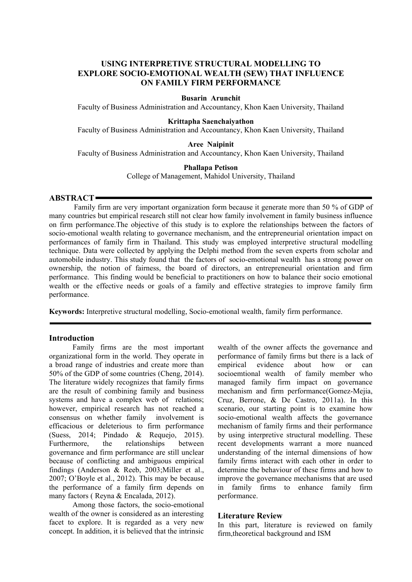# **USING INTERPRETIVE STRUCTURAL MODELLING TO EXPLORE SOCIO-EMOTIONAL WEALTH (SEW) THAT INFLUENCE ON FAMILY FIRM PERFORMANCE**

#### **Busarin Arunchit**

Faculty of Business Administration and Accountancy, Khon Kaen University, Thailand

#### **Krittapha Saenchaiyathon**

Faculty of Business Administration and Accountancy, Khon Kaen University, Thailand

#### **Aree Naipinit**

Faculty of Business Administration and Accountancy, Khon Kaen University, Thailand

#### **Phallapa Petison**

College of Management, Mahidol University, Thailand

#### **ABSTRACT**

Family firm are very important organization form because it generate more than 50 % of GDP of many countries but empirical research still not clear how family involvement in family business influence on firm performance.The objective of this study is to explore the relationships between the factors of socio-emotional wealth relating to governance mechanism, and the entrepreneurial orientation impact on performances of family firm in Thailand. This study was employed interpretive structural modelling technique. Data were collected by applying the Delphi method from the seven experts from scholar and automobile industry. This study found that the factors of socio-emotional wealth has a strong power on ownership, the notion of fairness, the board of directors, an entrepreneurial orientation and firm performance. This finding would be beneficial to practitioners on how to balance their socio emotional wealth or the effective needs or goals of a family and effective strategies to improve family firm performance.

**Keywords:** Interpretive structural modelling, Socio-emotional wealth, family firm performance.

#### **Introduction**

Family firms are the most important organizational form in the world. They operate in a broad range of industries and create more than 50% of the GDP of some countries (Cheng, 2014). The literature widely recognizes that family firms are the result of combining family and business systems and have a complex web of relations; however, empirical research has not reached a consensus on whether family involvement is efficacious or deleterious to firm performance (Suess, 2014; Pindado & Requejo, 2015). Furthermore, the relationships between governance and firm performance are still unclear because of conflicting and ambiguous empirical findings (Anderson & Reeb, 2003;Miller et al., 2007; O'Boyle et al., 2012). This may be because the performance of a family firm depends on many factors ( Reyna & Encalada, 2012).

Among those factors, the socio-emotional wealth of the owner is considered as an interesting facet to explore. It is regarded as a very new concept. In addition, it is believed that the intrinsic wealth of the owner affects the governance and performance of family firms but there is a lack of empirical evidence about how or can socioemtional wealth of family member who managed family firm impact on governance mechanism and firm performance(Gomez-Mejia, Cruz, Berrone, & De Castro, 2011a). In this scenario, our starting point is to examine how socio-emotional wealth affects the governance mechanism of family firms and their performance by using interpretive structural modelling. These recent developments warrant a more nuanced understanding of the internal dimensions of how family firms interact with each other in order to determine the behaviour of these firms and how to improve the governance mechanisms that are used in family firms to enhance family firm performance.

#### **Literature Review**

In this part, literature is reviewed on family firm,theoretical background and ISM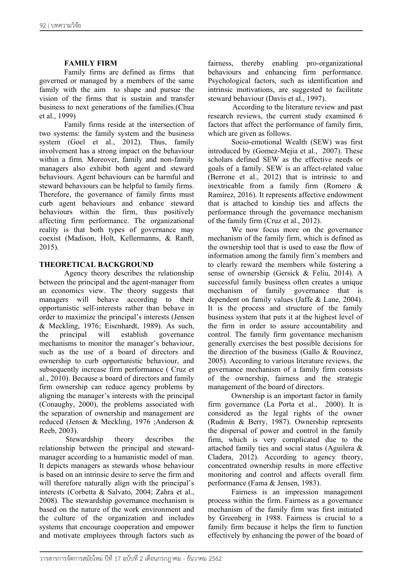## **FAMILY FIRM**

Family firms are defined as firms that governed or managed by a members of the same family with the aim to shape and pursue the vision of the firms that is sustain and transfer business to next generations of the families.(Chua et al., 1999)

Family firms reside at the intersection of two systems: the family system and the business system (Goel et al., 2012). Thus, family involvement has a strong impact on the behaviour within a firm. Moreover, family and non-family managers also exhibit both agent and steward behaviours. Agent behaviours can be harmful and steward behaviours can be helpful to family firms. Therefore, the governance of family firms must curb agent behaviours and enhance steward behaviours within the firm, thus positively affecting firm performance. The organizational reality is that both types of governance may coexist (Madison, Holt, Kellermanns, & Ranft, 2015).

## **THEORETICAL BACKGROUND**

Agency theory describes the relationship between the principal and the agent-manager from an economics view. The theory suggests that managers will behave according to their opportunistic self-interests rather than behave in order to maximize the principal's interests (Jensen & Meckling, 1976; Eisenhardt, 1989). As such, the principal will establish governance mechanisms to monitor the manager's behaviour, such as the use of a board of directors and ownership to curb opportunistic behaviour, and subsequently increase firm performance ( Cruz et al., 2010). Because a board of directors and family firm ownership can reduce agency problems by aligning the manager's interests with the principal (Conaughy, 2000), the problems associated with the separation of ownership and management are reduced (Jensen & Meckling, 1976 ;Anderson & Reeb, 2003).

Stewardship theory describes the relationship between the principal and stewardmanager according to a humanistic model of man. It depicts managers as stewards whose behaviour is based on an intrinsic desire to serve the firm and will therefore naturally align with the principal's interests (Corbetta & Salvato, 2004; Zahra et al., 2008). The stewardship governance mechanism is based on the nature of the work environment and the culture of the organization and includes systems that encourage cooperation and empower and motivate employees through factors such as

fairness, thereby enabling pro-organizational behaviours and enhancing firm performance. Psychological factors, such as identification and intrinsic motivations, are suggested to facilitate steward behaviour (Davis et al., 1997).

According to the literature review and past research reviews, the current study examined 6 factors that affect the performance of family firm, which are given as follows.

Socio-emotional Wealth (SEW) was first introduced by (Gomez-Mejia et al., 2007). These scholars defined SEW as the effective needs or goals of a family. SEW is an affect-related value (Berrone et al., 2012) that is intrinsic to and inextricable from a family firm (Romero & Ramírez, 2016). It represents affective endowment that is attached to kinship ties and affects the performance through the governance mechanism of the family firm (Cruz et al., 2012).

We now focus more on the governance mechanism of the family firm, which is defined as the ownership tool that is used to ease the flow of information among the family firm's members and to clearly reward the members while fostering a sense of ownership (Gersick & Feliu, 2014). A successful family business often creates a unique mechanism of family governance that is dependent on family values (Jaffe & Lane, 2004). It is the process and structure of the family business system that puts it at the highest level of the firm in order to assure accountability and control. The family firm governance mechanism generally exercises the best possible decisions for the direction of the business (Gallo & Rouvinez, 2005). According to various literature reviews, the governance mechanism of a family firm consists of the ownership, fairness and the strategic management of the board of directors.

Ownership is an important factor in family firm governance (La Porta et al., 2000). It is considered as the legal rights of the owner (Rudmin & Berry, 1987). Ownership represents the dispersal of power and control in the family firm, which is very complicated due to the attached family ties and social status (Aguilera & Cladera, 2012). According to agency theory, concentrated ownership results in more effective monitoring and control and affects overall firm performance (Fama & Jensen, 1983).

Fairness is an impression management process within the firm. Fairness as a governance mechanism of the family firm was first initiated by Greenberg in 1988. Fairness is crucial to a family firm because it helps the firm to function effectively by enhancing the power of the board of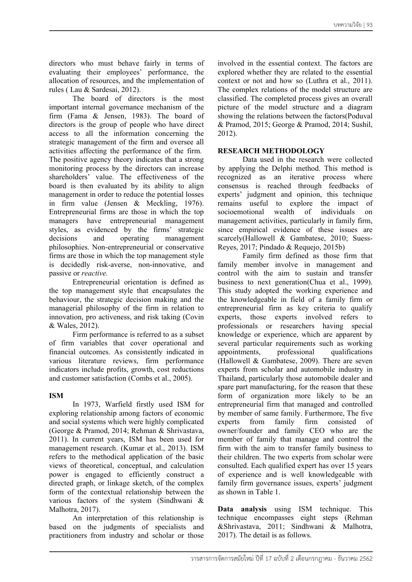directors who must behave fairly in terms of evaluating their employees' performance, the allocation of resources, and the implementation of rules ( Lau & Sardesai, 2012).

The board of directors is the most important internal governance mechanism of the firm (Fama & Jensen, 1983). The board of directors is the group of people who have direct access to all the information concerning the strategic management of the firm and oversee all activities affecting the performance of the firm. The positive agency theory indicates that a strong monitoring process by the directors can increase shareholders' value. The effectiveness of the board is then evaluated by its ability to align management in order to reduce the potential losses in firm value (Jensen & Meckling, 1976). Entrepreneurial firms are those in which the top managers have entrepreneurial management styles, as evidenced by the firms' strategic decisions and operating management philosophies. Non-entrepreneurial or conservative firms are those in which the top management style is decidedly risk-averse, non-innovative, and passive or *reactive.*

Entrepreneurial orientation is defined as the top management style that encapsulates the behaviour, the strategic decision making and the managerial philosophy of the firm in relation to innovation, pro activeness, and risk taking (Covin & Wales, 2012).

Firm performance is referred to as a subset of firm variables that cover operational and financial outcomes. As consistently indicated in various literature reviews, firm performance indicators include profits, growth, cost reductions and customer satisfaction (Combs et al., 2005).

# **ISM**

In 1973, Warfield firstly used ISM for exploring relationship among factors of economic and social systems which were highly complicated (George & Pramod, 2014; Rehman & Shrivastava, 2011). In current years, ISM has been used for management research. (Kumar et al., 2013). ISM refers to the methodical application of the basic views of theoretical, conceptual, and calculation power is engaged to efficiently construct a directed graph, or linkage sketch, of the complex form of the contextual relationship between the various factors of the system (Sindhwani & Malhotra, 2017).

An interpretation of this relationship is based on the judgments of specialists and practitioners from industry and scholar or those

involved in the essential context. The factors are explored whether they are related to the essential context or not and how so (Luthra et al., 2011). The complex relations of the model structure are classified. The completed process gives an overall picture of the model structure and a diagram showing the relations between the factors(Poduval & Pramod, 2015; George & Pramod, 2014; Sushil, 2012).

## **RESEARCH METHODOLOGY**

Data used in the research were collected by applying the Delphi method. This method is recognized as an iterative process where consensus is reached through feedbacks of experts' judgment and opinion, this technique remains useful to explore the impact of socioemotional wealth of individuals on management activities, particularly in family firm, since empirical evidence of these issues are scarcely(Hallowell & Gambatese, 2010; Suess-Reyes, 2017; Pindado & Requejo, 2015b)

Family firm defined as those firm that family member involve in management and control with the aim to sustain and transfer business to next generation(Chua et al., 1999). This study adopted the working experience and the knowledgeable in field of a family firm or entrepreneurial firm as key criteria to qualify experts, those experts involved refers to professionals or researchers having special knowledge or experience, which are apparent by several particular requirements such as working appointments, professional qualifications (Hallowell & Gambatese, 2009). There are seven experts from scholar and automobile industry in Thailand, particularly those automobile dealer and spare part manufacturing, for the reason that these form of organization more likely to be an entrepreneurial firm that managed and controlled by member of same family. Furthermore, The five experts from family firm consisted of owner/founder and family CEO who are the member of family that manage and control the firm with the aim to transfer family business to their children. The two experts from scholar were consulted. Each qualified expert has over 15 years of experience and is well knowledgeable with family firm governance issues, experts' judgment as shown in Table 1.

**Data analysis** using ISM technique. This technique encompasses eight steps (Rehman &Shrivastava, 2011; Sindhwani & Malhotra, 2017). The detail is as follows.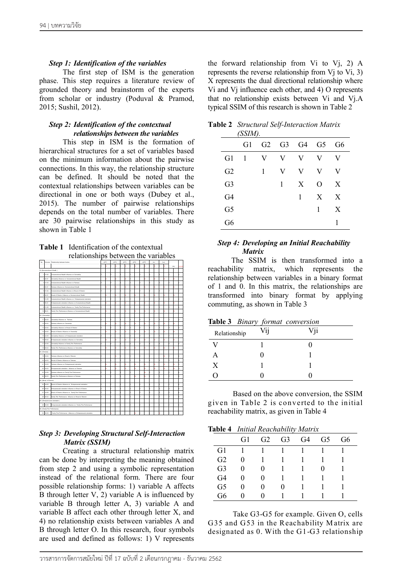## *Step 1: Identification of the variables*

The first step of ISM is the generation phase. This step requires a literature review of grounded theory and brainstorm of the experts from scholar or industry (Poduval & Pramod, 2015; Sushil, 2012).

### *Step 2: Identification of the contextual relationships between the variables*

This step in ISM is the formation of hierarchical structures for a set of variables based on the minimum information about the pairwise connections. In this way, the relationship structure can be defined. It should be noted that the contextual relationships between variables can be directional in one or both ways (Dubey et al., 2015). The number of pairwise relationships depends on the total number of variables. There are 30 pairwise relationships in this study as shown in Table 1

**Table 1** Identification of the contextual relationships between the variables

|                                   |                            | relationships between the variables                              |      |  |      |      |  |      |             |     |  |                 |     |    |
|-----------------------------------|----------------------------|------------------------------------------------------------------|------|--|------|------|--|------|-------------|-----|--|-----------------|-----|----|
|                                   |                            | air-wise Relationship between factors                            | AFF1 |  | AFF2 | AFF3 |  | AFF4 | <b>AFFS</b> | Sci |  | SO <sub>2</sub> |     |    |
|                                   |                            |                                                                  |      |  |      |      |  |      |             |     |  |                 | Y/N | Aэ |
|                                   | G1-Socioemotional Wealth ) |                                                                  |      |  |      |      |  |      |             |     |  |                 |     |    |
|                                   | 05/02                      | Socioemotional Wealth Influence on Ownership                     |      |  |      |      |  |      |             |     |  |                 |     |    |
| ٠                                 | 03.01                      | Ownership influence on Socioemotional Wealth                     |      |  |      |      |  |      |             |     |  |                 |     |    |
| ٠                                 | $01-03$                    | Socioemptional Wealth Influence on Falmess                       |      |  |      |      |  |      |             |     |  |                 |     |    |
|                                   | 4 63 61                    | almess influence on Socioemptional Wealth                        |      |  |      |      |  |      |             |     |  |                 |     |    |
|                                   | 5 G1-G4                    | Socioemotional Wealth Influence on Broad of Director             |      |  |      |      |  |      |             |     |  |                 |     |    |
|                                   | 6 64 61                    | Broad of Director influence on Socioemotional Wealth             |      |  |      |      |  |      |             |     |  |                 |     |    |
|                                   | <b>TIGSON</b>              | Socioemotional Wealth influence on Entrepreneutal orientation    |      |  |      |      |  |      |             |     |  |                 |     |    |
|                                   | 8 05-01                    | Entepreneutal otentation influence on Socioemotional Wealth      |      |  |      |      |  |      |             |     |  |                 |     |    |
|                                   | $9.01-00$                  | Socioemotional Wealth influence on Family Firm Performance       |      |  |      |      |  |      |             |     |  |                 |     |    |
|                                   | 10 GS-G1                   | Family Firm Performance Influence on Socioemotional Wealth       |      |  |      |      |  |      |             |     |  |                 |     |    |
|                                   | G2- (Ownership)            |                                                                  |      |  |      |      |  |      |             |     |  |                 |     |    |
|                                   | 11 (22-G3)                 | Ownership influence on Fairness                                  |      |  |      |      |  |      |             |     |  |                 |     |    |
|                                   | 12 (33-62)                 | almess influence on Ownership                                    |      |  |      |      |  |      |             |     |  |                 |     |    |
|                                   | 13 G2-G4                   | Ownership influence on Broad of Director                         |      |  |      |      |  |      |             |     |  |                 |     |    |
|                                   | 14 64 62                   | Broad of Director Influence on Ownership                         |      |  |      |      |  |      |             |     |  |                 |     |    |
|                                   | 15 02-05                   | Ownership influence on Entrepreneurial orientation               |      |  |      |      |  |      |             |     |  |                 |     |    |
| 16                                | 05-02                      | Entrepreneutel ofentation influence on Ownership                 |      |  |      |      |  |      |             |     |  |                 |     |    |
|                                   | 17 62-66                   | Ownership influence on Family Firm Performance                   |      |  |      |      |  |      |             |     |  |                 |     |    |
|                                   | 18 05:02                   | Family Firm Performance Influence on Ownership                   |      |  |      |      |  |      |             |     |  |                 |     |    |
|                                   | G3- (Fairness)             |                                                                  |      |  |      |      |  |      |             |     |  |                 |     |    |
|                                   | 19123-04                   | Fairness influence on Broad of Director                          |      |  |      |      |  |      |             |     |  |                 |     |    |
|                                   | 20104-03                   | Broad of Director Influence on Enjmany                           |      |  |      |      |  |      |             |     |  |                 |     |    |
|                                   | 21 03 05                   | almess influence on Entrepreneurial orientation                  |      |  |      |      |  |      |             |     |  |                 |     |    |
|                                   | 22 05:03                   | Entrepreneutal odentation influence on Fairness                  |      |  |      |      |  |      |             |     |  |                 |     |    |
|                                   | 23 G3-G6                   | Fairness influence on Family Firm Performance                    |      |  |      |      |  |      |             |     |  |                 |     |    |
| $\overline{2}$                    | 05-03                      | Family Firm Performance Influence on Falmess                     |      |  |      |      |  |      |             |     |  |                 |     |    |
|                                   | 54- (Broad of Director)    |                                                                  |      |  |      |      |  |      |             |     |  |                 |     |    |
|                                   | 25 G4 G5                   | Broad of Director Influence on Entrepreneurial orientation       |      |  |      |      |  |      |             |     |  |                 |     |    |
|                                   | 25 GS-G4                   | Entrepreneurial orientation influence on Broad of Director       |      |  |      |      |  |      |             |     |  |                 |     |    |
|                                   | 27 G4 G6                   | Broad of Director Influence on Family Firm Performance           |      |  |      |      |  |      |             |     |  |                 |     |    |
| $\overline{2}$                    | GS-G4                      | Family Firm Performance Influence on Broad of Director           |      |  |      |      |  |      |             |     |  |                 |     |    |
| 25- (Enterpreneurial orientation) |                            |                                                                  |      |  |      |      |  |      |             |     |  |                 |     |    |
|                                   | 29 05:06                   | Entrepreneurial orientation influence on Family Firm Performance |      |  |      |      |  |      |             |     |  |                 |     |    |
|                                   |                            | 56- (Family Firm Performance)                                    |      |  |      |      |  |      |             |     |  |                 |     |    |
|                                   | 30 06:05                   | Family Firm Performance Influence on Entrepreneurial odentation  |      |  |      |      |  |      |             |     |  |                 |     |    |
|                                   |                            |                                                                  |      |  |      |      |  |      |             |     |  |                 |     |    |

# *Step 3: Developing Structural Self-Interaction Matrix (SSIM)*

Creating a structural relationship matrix can be done by interpreting the meaning obtained from step 2 and using a symbolic representation instead of the relational form. There are four possible relationship forms: 1) variable A affects B through letter V, 2) variable A is influenced by variable B through letter A, 3) variable A and variable B affect each other through letter X, and 4) no relationship exists between variables A and B through letter O. In this research, four symbols are used and defined as follows: 1) V represents

the forward relationship from Vi to Vj, 2) A represents the reverse relationship from Vj to Vi, 3) X represents the dual directional relationship where Vi and Vj influence each other, and 4) O represents that no relationship exists between Vi and Vj.A typical SSIM of this research is shown in Table 2

|                | (SSIM). |   |   |                                                             |   |    |
|----------------|---------|---|---|-------------------------------------------------------------|---|----|
|                | G1      |   |   | G <sub>2</sub> G <sub>3</sub> G <sub>4</sub> G <sub>5</sub> |   | G6 |
| G1             | 1       | V | V | V                                                           | V | V  |
| G2             |         | 1 | V | V                                                           | V | V  |
| G <sub>3</sub> |         |   | 1 | X                                                           | O | X  |
| G4             |         |   |   | 1                                                           | X | X  |
| G <sub>5</sub> |         |   |   |                                                             | 1 | X  |
| G6             |         |   |   |                                                             |   |    |

**Table 2** *Structural Self-Interaction Matrix* 

# *Step 4: Developing an Initial Reachability Matrix*

The SSIM is then transformed into a reachability matrix, which represents the relationship between variables in a binary format of 1 and 0. In this matrix, the relationships are transformed into binary format by applying commuting, as shown in Table 3

|  |  |  | Table 3 Binary format conversion |
|--|--|--|----------------------------------|
|--|--|--|----------------------------------|

| Relationship | Vij | Vji |
|--------------|-----|-----|
|              |     |     |
| A            |     |     |
| X            |     |     |
|              |     |     |

Based on the above conversion, the SSIM given in Table 2 is converted to the initial reachability matrix, as given in Table 4

|--|

|                | G1 | G2 | G <sub>3</sub> | G4 | G5 | G6 |  |
|----------------|----|----|----------------|----|----|----|--|
| G1             |    |    |                |    |    |    |  |
| G2             |    |    |                |    |    |    |  |
| G <sub>3</sub> |    |    |                |    |    |    |  |
| G <sub>4</sub> |    |    |                |    |    |    |  |
| G <sub>5</sub> |    |    | 0              |    |    |    |  |
| G6             |    |    |                |    |    |    |  |

Take G3-G5 for example. Given O, cells G35 and G53 in the Reachability M atrix are designated as 0. With the G1-G3 relationship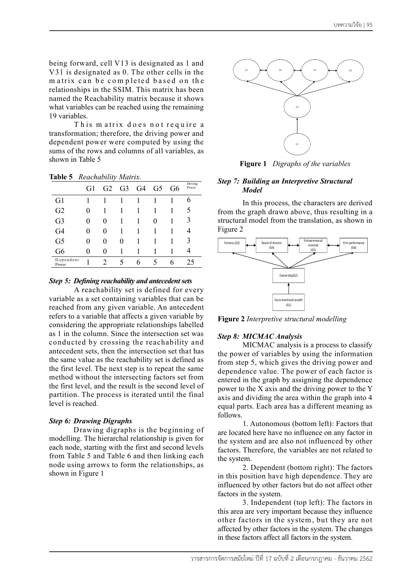being forward, cell V13 is designated as 1 and V31 is designated as 0. The other cells in the m atrix can be com pleted based on th e relationships in the SSIM. This matrix has been named the Reachability matrix because it shows what variables can be reached using the remaining 19 variables.

This matrix does not require a transformation; therefore, the driving power and dependent power were computed by using the sums of the rows and columns of all variables, as shown in Table 5

|                    |    | ,  |                |                |                |    |                  |
|--------------------|----|----|----------------|----------------|----------------|----|------------------|
|                    | G1 | G2 | G <sub>3</sub> | G <sub>4</sub> | G <sub>5</sub> | G6 | Driving<br>Power |
| G1                 |    |    |                |                |                |    | h                |
| G2                 | 0  |    |                |                |                |    | 5                |
| G <sub>3</sub>     | 0  | 0  |                |                | 0              |    | 3                |
| G <sub>4</sub>     | 0  | 0  |                |                |                |    |                  |
| G <sub>5</sub>     | 0  | 0  | $\theta$       |                |                |    | 3                |
| G <sub>6</sub>     | 0  | 0  |                |                |                |    |                  |
| Dependent<br>Power |    |    | 5              | 6              |                | 6  | 25               |

**Table 5** *Reachability Matrix.*

#### *Step 5: Defining reachability and antecedent sets*

A reachability set is defined for every variable as a set containing variables that can be reached from any given variable. An antecedent refers to a variable that affects a given variable by considering the appropriate relationships labelled as 1 in the column. Since the intersection set was conducted by crossing the reachability and antecedent sets, then the intersection set that has the same value as the reachability set is defined as the first level. The next step is to repeat the same method without the intersecting factors set from the first level, and the result is the second level of partition. The process is iterated until the final level is reached.

### *Step 6: Drawing Digraphs*

Drawing digraphs is the beginning of modelling. The hierarchal relationship is given for each node, starting with the first and second levels from Table 5 and Table 6 and then linking each node using arrows to form the relationships, as shown in Figure 1



**Figure 1** *Digraphs of the variables*

### *Step 7: Building an Interpretive Structural Model*

In this process, the characters are derived from the graph drawn above, thus resulting in a structural model from the translation, as shown in Figure 2



**Figure 2** *Interpretive structural modelling* 

# *Step 8: MICMAC Analysis*

MICMAC analysis is a process to classify the power of variables by using the information from step 5, which gives the driving power and dependence value. The power of each factor is entered in the graph by assigning the dependence power to the X axis and the driving power to the Y axis and dividing the area within the graph into 4 equal parts. Each area has a different meaning as follows.

1. Autonomous (bottom left): Factors that are located here have no influence on any factor in the system and are also not influenced by other factors. Therefore, the variables are not related to the system.

2. Dependent (bottom right): The factors in this position have high dependence. They are influenced by other factors but do not affect other factors in the system.

3. Independent (top left): The factors in this area are very important because they influence other factors in the system , but they are not affected by other factors in the system. The changes in these factors affect all factors in the system.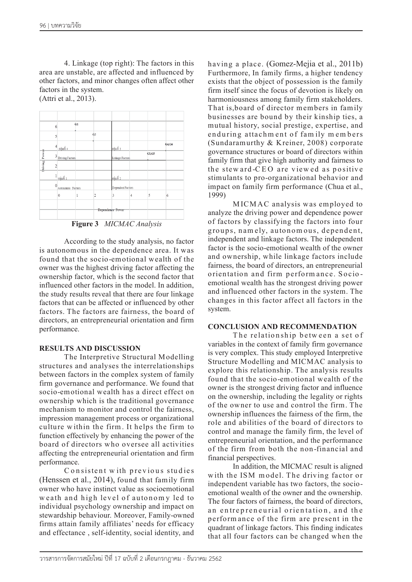4. Linkage (top right): The factors in this area are unstable, are affected and influenced by other factors, and minor changes often affect other factors in the system. (Attri et al., 2013).



**Figure 3** *MICMAC Analysis*

According to the study analysis, no factor is autonomous in the dependence area. It was found that the socio-emotional wealth of the owner was the highest driving factor affecting the ownership factor, which is the second factor that influenced other factors in the model. In addition, the study results reveal that there are four linkage factors that can be affected or influenced by other factors. The factors are fairness, the board of directors, an entrepreneurial orientation and firm performance.

# **RESULTS AND DISCUSSION**

The Interpretive Structural M odelling structures and analyses the interrelationships between factors in the complex system of family firm governance and performance. We found that socio-emotional wealth has a direct effect on ownership which is the traditional governance mechanism to monitor and control the fairness, impression management process or organizational culture w ithin the firm . It helps the firm to function effectively by enhancing the power of the board of directors who oversee all activities affecting the entrepreneurial orientation and firm performance.

C onsistent w ith previous studies (Henssen et al., 2014), found that family firm owner who have instinct value as socioemotional weath and high level of autonom y led to individual psychology ownership and impact on stewardship behaviour. Moreover, Family-owned firms attain family affiliates' needs for efficacy and effectance , self-identity, social identity, and having a place. (Gomez-Mejia et al., 2011b) Furthermore, In family firms, a higher tendency exists that the object of possession is the family firm itself since the focus of devotion is likely on harmoniousness among family firm stakeholders. That is, board of director members in family businesses are bound by their kinship ties, a mutual history, social prestige, expertise, and enduring attachm ent of fam ily m em bers (Sundaramurthy & Kreiner, 2008) corporate governance structures or board of directors within family firm that give high authority and fairness to the stew ard -CEO are viewed as positive stimulants to pro-organizational behavior and impact on family firm performance (Chua et al., 1999)

MICMAC analysis was employed to analyze the driving power and dependence power of factors by classifying the factors into four groups, namely, autonomous, dependent, independent and linkage factors. The independent factor is the socio-emotional wealth of the owner and ownership, while linkage factors include fairness, the board of directors, an entrepreneurial orientation and firm performance. Socio emotional wealth has the strongest driving power and influenced other factors in the system. The changes in this factor affect all factors in the system.

### **CONCLUSION AND RECOMMENDATION**

The relationship between a set of variables in the context of family firm governance is very complex. This study employed Interpretive Structure Modelling and MICMAC analysis to explore this relationship. The analysis results found that the socio-emotional wealth of the owner is the strongest driving factor and influence on the ownership, including the legality or rights of the owner to use and control the firm. The ownership influences the fairness of the firm, the role and abilities of the board of directors to control and manage the family firm, the level of entrepreneurial orientation, and the performance of the firm from both the non-financial and financial perspectives.

In addition, the MICMAC result is aligned with the ISM model. The driving factor or independent variable has two factors, the socioemotional wealth of the owner and the ownership. The four factors of fairness, the board of directors, an entrepreneurial orientation, and the perform ance of the firm are present in the quadrant of linkage factors. This finding indicates that all four factors can be changed when the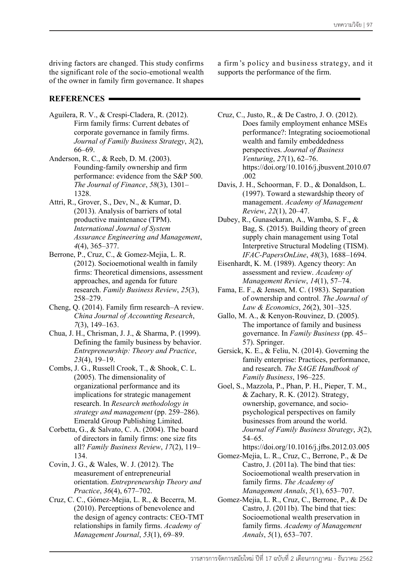driving factors are changed. This study confirms the significant role of the socio-emotional wealth of the owner in family firm governance. It shapes

# **REFERENCES**

- Aguilera, R. V., & Crespi-Cladera, R. (2012). Firm family firms: Current debates of corporate governance in family firms. *Journal of Family Business Strategy*, *3*(2), 66–69.
- Anderson, R. C., & Reeb, D. M. (2003). Founding-family ownership and firm performance: evidence from the S&P 500. *The Journal of Finance*, *58*(3), 1301– 1328.
- Attri, R., Grover, S., Dev, N., & Kumar, D. (2013). Analysis of barriers of total productive maintenance (TPM). *International Journal of System Assurance Engineering and Management*, *4*(4), 365–377.
- Berrone, P., Cruz, C., & Gomez-Mejia, L. R. (2012). Socioemotional wealth in family firms: Theoretical dimensions, assessment approaches, and agenda for future research. *Family Business Review*, *25*(3), 258–279.
- Cheng, Q. (2014). Family firm research–A review. *China Journal of Accounting Research*, *7*(3), 149–163.
- Chua, J. H., Chrisman, J. J., & Sharma, P. (1999). Defining the family business by behavior. *Entrepreneurship: Theory and Practice*, *23*(4), 19–19.
- Combs, J. G., Russell Crook, T., & Shook, C. L. (2005). The dimensionality of organizational performance and its implications for strategic management research. In *Research methodology in strategy and management* (pp. 259–286). Emerald Group Publishing Limited.
- Corbetta, G., & Salvato, C. A. (2004). The board of directors in family firms: one size fits all? *Family Business Review*, *17*(2), 119– 134.
- Covin, J. G., & Wales, W. J. (2012). The measurement of entrepreneurial orientation. *Entrepreneurship Theory and Practice*, *36*(4), 677–702.
- Cruz, C. C., Gómez-Mejia, L. R., & Becerra, M. (2010). Perceptions of benevolence and the design of agency contracts: CEO-TMT relationships in family firms. *Academy of Management Journal*, *53*(1), 69–89.

a firm 's policy and business strategy, and it supports the performance of the firm.

- Cruz, C., Justo, R., & De Castro, J. O. (2012). Does family employment enhance MSEs performance?: Integrating socioemotional wealth and family embeddedness perspectives. *Journal of Business Venturing*, *27*(1), 62–76. https://doi.org/10.1016/j.jbusvent.2010.07 .002
- Davis, J. H., Schoorman, F. D., & Donaldson, L. (1997). Toward a stewardship theory of management. *Academy of Management Review*, *22*(1), 20–47.
- Dubey, R., Gunasekaran, A., Wamba, S. F., & Bag, S. (2015). Building theory of green supply chain management using Total Interpretive Structural Modeling (TISM). *IFAC-PapersOnLine*, *48*(3), 1688–1694.
- Eisenhardt, K. M. (1989). Agency theory: An assessment and review. *Academy of Management Review*, *14*(1), 57–74.
- Fama, E. F., & Jensen, M. C. (1983). Separation of ownership and control. *The Journal of Law & Economics*, *26*(2), 301–325.
- Gallo, M. A., & Kenyon-Rouvinez, D. (2005). The importance of family and business governance. In *Family Business* (pp. 45– 57). Springer.
- Gersick, K. E., & Feliu, N. (2014). Governing the family enterprise: Practices, performance, and research. *The SAGE Handbook of Family Business*, 196–225.
- Goel, S., Mazzola, P., Phan, P. H., Pieper, T. M., & Zachary, R. K. (2012). Strategy, ownership, governance, and sociopsychological perspectives on family businesses from around the world. *Journal of Family Business Strategy*, *3*(2), 54–65.
- https://doi.org/10.1016/j.jfbs.2012.03.005 Gomez-Mejia, L. R., Cruz, C., Berrone, P., & De Castro, J. (2011a). The bind that ties: Socioemotional wealth preservation in family firms. *The Academy of*
- *Management Annals*, *5*(1), 653–707. Gomez-Mejia, L. R., Cruz, C., Berrone, P., & De Castro, J. (2011b). The bind that ties: Socioemotional wealth preservation in family firms. *Academy of Management Annals*, *5*(1), 653–707.